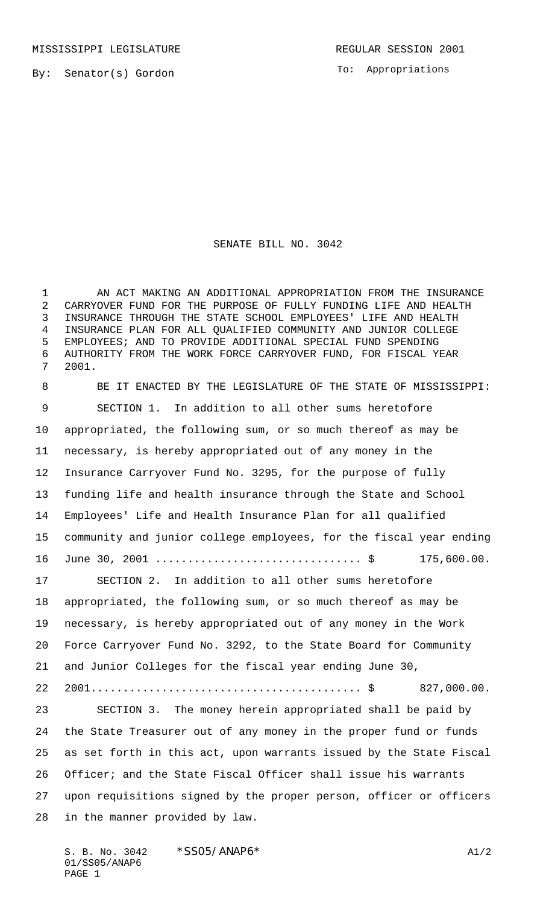To: Appropriations

## SENATE BILL NO. 3042

1 AN ACT MAKING AN ADDITIONAL APPROPRIATION FROM THE INSURANCE CARRYOVER FUND FOR THE PURPOSE OF FULLY FUNDING LIFE AND HEALTH INSURANCE THROUGH THE STATE SCHOOL EMPLOYEES' LIFE AND HEALTH INSURANCE PLAN FOR ALL QUALIFIED COMMUNITY AND JUNIOR COLLEGE EMPLOYEES; AND TO PROVIDE ADDITIONAL SPECIAL FUND SPENDING AUTHORITY FROM THE WORK FORCE CARRYOVER FUND, FOR FISCAL YEAR 2001.

 BE IT ENACTED BY THE LEGISLATURE OF THE STATE OF MISSISSIPPI: SECTION 1. In addition to all other sums heretofore appropriated, the following sum, or so much thereof as may be necessary, is hereby appropriated out of any money in the Insurance Carryover Fund No. 3295, for the purpose of fully funding life and health insurance through the State and School Employees' Life and Health Insurance Plan for all qualified community and junior college employees, for the fiscal year ending June 30, 2001 ................................ \$ 175,600.00. SECTION 2. In addition to all other sums heretofore appropriated, the following sum, or so much thereof as may be necessary, is hereby appropriated out of any money in the Work Force Carryover Fund No. 3292, to the State Board for Community and Junior Colleges for the fiscal year ending June 30, 2001.......................................... \$ 827,000.00. 23 SECTION 3. The money herein appropriated shall be paid by the State Treasurer out of any money in the proper fund or funds as set forth in this act, upon warrants issued by the State Fiscal Officer; and the State Fiscal Officer shall issue his warrants upon requisitions signed by the proper person, officer or officers in the manner provided by law.

S. B. No. 3042 \* SSO5/ANAP6\* A1/2 01/SS05/ANAP6 PAGE 1